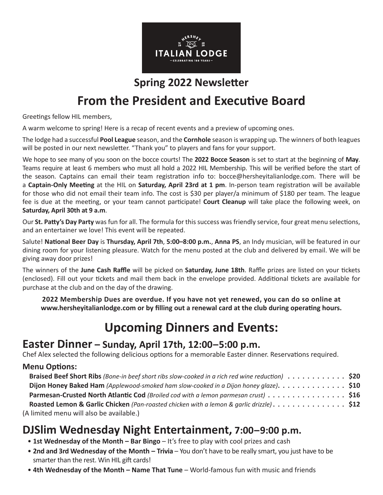

#### **Spring 2022 Newsletter**

# **From the President and Executive Board**

Greetings fellow HIL members,

A warm welcome to spring! Here is a recap of recent events and a preview of upcoming ones.

The lodge had a successful **Pool League** season, and the **Cornhole** season is wrapping up. The winners of both leagues will be posted in our next newsletter. "Thank you" to players and fans for your support.

We hope to see many of you soon on the bocce courts! The **2022 Bocce Season** is set to start at the beginning of **May**. Teams require at least 6 members who must all hold a 2022 HIL Membership. This will be verified before the start of the season. Captains can email their team registration info to: bocce@hersheyitalianlodge.com. There will be a **Captain-Only Meeting** at the HIL on **Saturday, April 23rd at 1 pm**. In-person team registration will be available for those who did not email their team info. The cost is \$30 per player/a minimum of \$180 per team. The league fee is due at the meeting, or your team cannot participate! **Court Cleanup** will take place the following week, on **Saturday, April 30th at 9 a.m**.

Our **St. Patty's Day Party** was fun for all. The formula for this success was friendly service, four great menu selections, and an entertainer we love! This event will be repeated.

Salute! **National Beer Day** is **Thursday, April 7th**, **5:00–8:00 p.m.**, **Anna PS**, an Indy musician, will be featured in our dining room for your listening pleasure. Watch for the menu posted at the club and delivered by email. We will be giving away door prizes!

The winners of the **June Cash Raffle** will be picked on **Saturday, June 18th**. Raffle prizes are listed on your tickets (enclosed). Fill out your tickets and mail them back in the envelope provided. Additional tickets are available for purchase at the club and on the day of the drawing.

**2022 Membership Dues are overdue. If you have not yet renewed, you can do so online at www.hersheyitalianlodge.com or by filling out a renewal card at the club during operating hours.**

# **Upcoming Dinners and Events:**

#### **Easter Dinner – Sunday, April 17th, 12:00–5:00 p.m.**

Chef Alex selected the following delicious options for a memorable Easter dinner. Reservations required.

#### **Menu Options:**

| Braised Beef Short Ribs (Bone-in beef short ribs slow-cooked in a rich red wine reduction) \$20            |  |
|------------------------------------------------------------------------------------------------------------|--|
| Dijon Honey Baked Ham (Applewood-smoked ham slow-cooked in a Dijon honey glaze). $\dots \dots \dots \dots$ |  |
| Parmesan-Crusted North Atlantic Cod (Broiled cod with a lemon parmesan crust) \$16                         |  |
| Roasted Lemon & Garlic Chicken (Pan-roasted chicken with a lemon & garlic drizzle). \$12                   |  |
| (A limited menu will also be available.)                                                                   |  |

# **DJSlim Wednesday Night Entertainment, 7:00–9:00 p.m.**

- **1st Wednesday of the Month Bar Bingo** It's free to play with cool prizes and cash
- **2nd and 3rd Wednesday of the Month Trivia** You don't have to be really smart, you just have to be smarter than the rest. Win HIL gift cards!
- **4th Wednesday of the Month Name That Tune** World-famous fun with music and friends